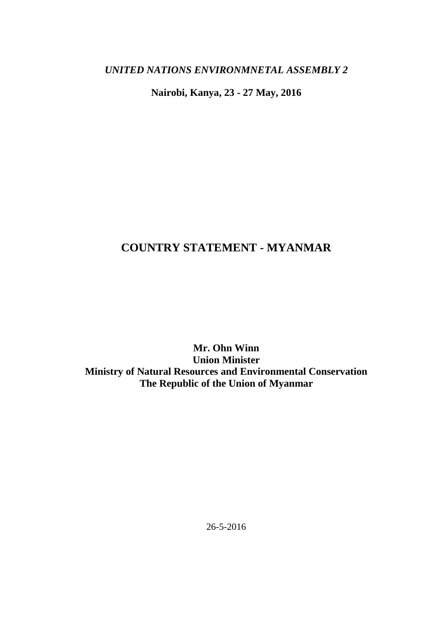*UNITED NATIONS ENVIRONMNETAL ASSEMBLY 2*

**Nairobi, Kanya, 23 - 27 May, 2016**

# **COUNTRY STATEMENT - MYANMAR**

**Mr. Ohn Winn Union Minister Ministry of Natural Resources and Environmental Conservation The Republic of the Union of Myanmar**

26-5-2016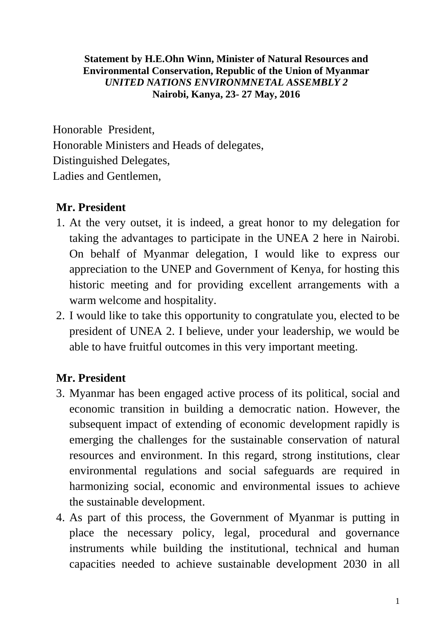#### **Statement by H.E.Ohn Winn, Minister of Natural Resources and Environmental Conservation, Republic of the Union of Myanmar** *UNITED NATIONS ENVIRONMNETAL ASSEMBLY 2* **Nairobi, Kanya, 23- 27 May, 2016**

Honorable President, Honorable Ministers and Heads of delegates, Distinguished Delegates, Ladies and Gentlemen,

## **Mr. President**

- 1. At the very outset, it is indeed, a great honor to my delegation for taking the advantages to participate in the UNEA 2 here in Nairobi. On behalf of Myanmar delegation, I would like to express our appreciation to the UNEP and Government of Kenya, for hosting this historic meeting and for providing excellent arrangements with a warm welcome and hospitality.
- 2. I would like to take this opportunity to congratulate you, elected to be president of UNEA 2. I believe, under your leadership, we would be able to have fruitful outcomes in this very important meeting.

## **Mr. President**

- 3. Myanmar has been engaged active process of its political, social and economic transition in building a democratic nation. However, the subsequent impact of extending of economic development rapidly is emerging the challenges for the sustainable conservation of natural resources and environment. In this regard, strong institutions, clear environmental regulations and social safeguards are required in harmonizing social, economic and environmental issues to achieve the sustainable development.
- 4. As part of this process, the Government of Myanmar is putting in place the necessary policy, legal, procedural and governance instruments while building the institutional, technical and human capacities needed to achieve sustainable development 2030 in all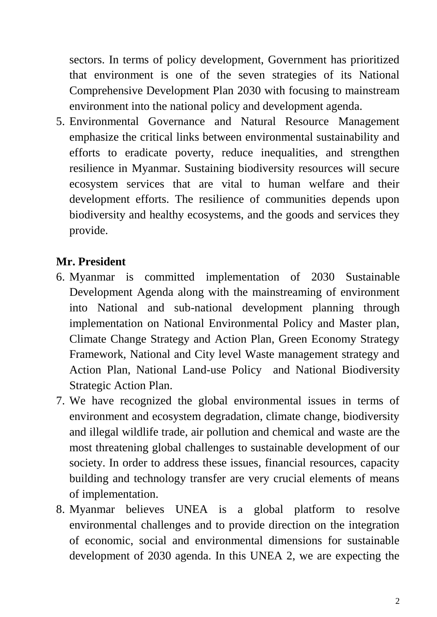sectors. In terms of policy development, Government has prioritized that environment is one of the seven strategies of its National Comprehensive Development Plan 2030 with focusing to mainstream environment into the national policy and development agenda.

5. Environmental Governance and Natural Resource Management emphasize the critical links between environmental sustainability and efforts to eradicate poverty, reduce inequalities, and strengthen resilience in Myanmar. Sustaining biodiversity resources will secure ecosystem services that are vital to human welfare and their development efforts. The resilience of communities depends upon biodiversity and healthy ecosystems, and the goods and services they provide.

## **Mr. President**

- 6. Myanmar is committed implementation of 2030 Sustainable Development Agenda along with the mainstreaming of environment into National and sub-national development planning through implementation on National Environmental Policy and Master plan, Climate Change Strategy and Action Plan, Green Economy Strategy Framework, National and City level Waste management strategy and Action Plan, National Land-use Policy and National Biodiversity Strategic Action Plan.
- 7. We have recognized the global environmental issues in terms of environment and ecosystem degradation, climate change, biodiversity and illegal wildlife trade, air pollution and chemical and waste are the most threatening global challenges to sustainable development of our society. In order to address these issues, financial resources, capacity building and technology transfer are very crucial elements of means of implementation.
- 8. Myanmar believes UNEA is a global platform to resolve environmental challenges and to provide direction on the integration of economic, social and environmental dimensions for sustainable development of 2030 agenda. In this UNEA 2, we are expecting the